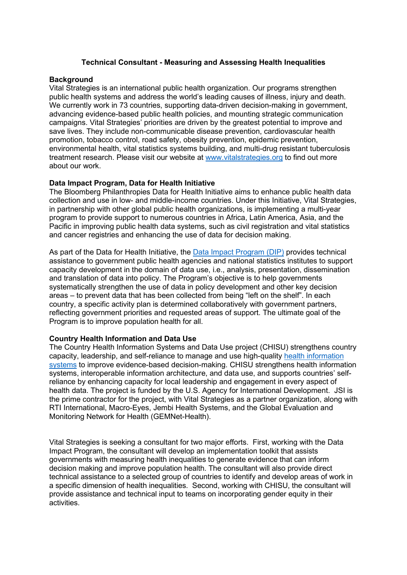# **Technical Consultant - Measuring and Assessing Health Inequalities**

## **Background**

Vital Strategies is an international public health organization. Our programs strengthen public health systems and address the world's leading causes of illness, injury and death. We currently work in 73 countries, supporting data-driven decision-making in government. advancing evidence-based public health policies, and mounting strategic communication campaigns. Vital Strategies' priorities are driven by the greatest potential to improve and save lives. They include non-communicable disease prevention, cardiovascular health promotion, tobacco control, road safety, obesity prevention, epidemic prevention, environmental health, vital statistics systems building, and multi-drug resistant tuberculosis treatment research. Please visit our website at [www.vitalstrategies.org](http://www.vitalstrategies.org/) to find out more about our work.

## **Data Impact Program, Data for Health Initiative**

The Bloomberg Philanthropies Data for Health Initiative aims to enhance public health data collection and use in low- and middle-income countries. Under this Initiative, Vital Strategies, in partnership with other global public health organizations, is implementing a multi-year program to provide support to numerous countries in Africa, Latin America, Asia, and the Pacific in improving public health data systems, such as civil registration and vital statistics and cancer registries and enhancing the use of data for decision making.

As part of the Data for Health Initiative, the [Data Impact Program \(DIP\)](https://www.d4hdataimpact.org/) provides technical assistance to government public health agencies and national statistics institutes to support capacity development in the domain of data use, i.e., analysis, presentation, dissemination and translation of data into policy. The Program's objective is to help governments systematically strengthen the use of data in policy development and other key decision areas – to prevent data that has been collected from being "left on the shelf". In each country, a specific activity plan is determined collaboratively with government partners, reflecting government priorities and requested areas of support. The ultimate goal of the Program is to improve population health for all.

#### **Country Health Information and Data Use**

The Country Health Information Systems and Data Use project (CHISU) strengthens country capacity, leadership, and self-reliance to manage and use high-quality [health information](https://chisuprogram.org/about/health-information-systems)  [systems](https://chisuprogram.org/about/health-information-systems) to improve evidence-based decision-making. CHISU strengthens health information systems, interoperable information architecture, and data use, and supports countries' selfreliance by enhancing capacity for local leadership and engagement in every aspect of health data. The project is funded by the U.S. Agency for International Development. JSI is the prime contractor for the project, with Vital Strategies as a partner organization, along with RTI International, Macro-Eyes, Jembi Health Systems, and the Global Evaluation and Monitoring Network for Health (GEMNet-Health).

Vital Strategies is seeking a consultant for two major efforts. First, working with the Data Impact Program, the consultant will develop an implementation toolkit that assists governments with measuring health inequalities to generate evidence that can inform decision making and improve population health. The consultant will also provide direct technical assistance to a selected group of countries to identify and develop areas of work in a specific dimension of health inequalities. Second, working with CHISU, the consultant will provide assistance and technical input to teams on incorporating gender equity in their activities.